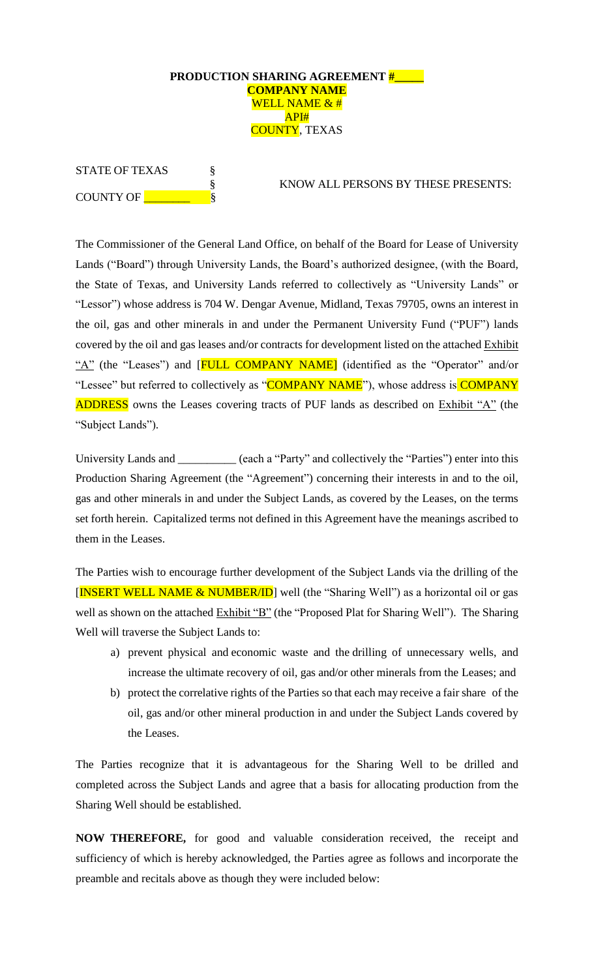### **PRODUCTION SHARING AGREEMENT #\_\_\_\_\_ COMPANY NAME** WELL NAME & # API# COUNTY, TEXAS

| <b>STATE OF TEXAS</b> |  |  |  |
|-----------------------|--|--|--|
|                       |  |  |  |
| COUNTY OF             |  |  |  |

§ KNOW ALL PERSONS BY THESE PRESENTS:

The Commissioner of the General Land Office, on behalf of the Board for Lease of University Lands ("Board") through University Lands, the Board's authorized designee, (with the Board, the State of Texas, and University Lands referred to collectively as "University Lands" or "Lessor") whose address is 704 W. Dengar Avenue, Midland, Texas 79705, owns an interest in the oil, gas and other minerals in and under the Permanent University Fund ("PUF") lands covered by the oil and gas leases and/or contracts for development listed on the attached Exhibit "A" (the "Leases") and [**FULL COMPANY NAME**] (identified as the "Operator" and/or "Lessee" but referred to collectively as "COMPANY NAME"), whose address is COMPANY ADDRESS owns the Leases covering tracts of PUF lands as described on Exhibit "A" (the "Subject Lands").

University Lands and \_\_\_\_\_\_\_\_\_ (each a "Party" and collectively the "Parties") enter into this Production Sharing Agreement (the "Agreement") concerning their interests in and to the oil, gas and other minerals in and under the Subject Lands, as covered by the Leases, on the terms set forth herein. Capitalized terms not defined in this Agreement have the meanings ascribed to them in the Leases.

The Parties wish to encourage further development of the Subject Lands via the drilling of the [INSERT WELL NAME & NUMBER/ID] well (the "Sharing Well") as a horizontal oil or gas well as shown on the attached Exhibit "B" (the "Proposed Plat for Sharing Well"). The Sharing Well will traverse the Subject Lands to:

- a) prevent physical and economic waste and the drilling of unnecessary wells, and increase the ultimate recovery of oil, gas and/or other minerals from the Leases; and
- b) protect the correlative rights of the Parties so that each may receive a fair share of the oil, gas and/or other mineral production in and under the Subject Lands covered by the Leases.

The Parties recognize that it is advantageous for the Sharing Well to be drilled and completed across the Subject Lands and agree that a basis for allocating production from the Sharing Well should be established.

**NOW THEREFORE,** for good and valuable consideration received, the receipt and sufficiency of which is hereby acknowledged, the Parties agree as follows and incorporate the preamble and recitals above as though they were included below: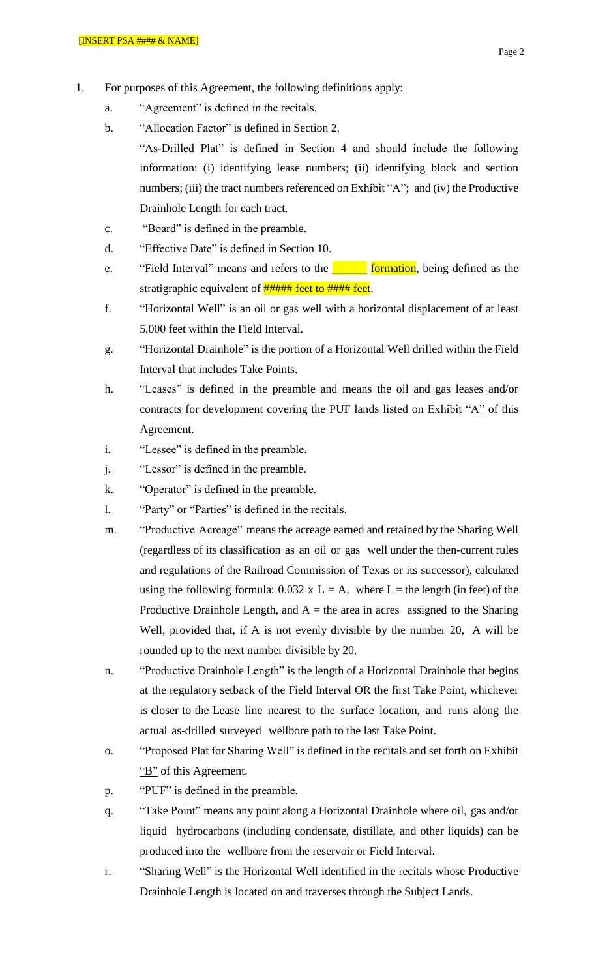- 1. For purposes of this Agreement, the following definitions apply:
	- a. "Agreement" is defined in the recitals.
	- b. "Allocation Factor" is defined in Section 2. "As-Drilled Plat" is defined in Section 4 and should include the following information: (i) identifying lease numbers; (ii) identifying block and section numbers; (iii) the tract numbers referenced on Exhibit "A"; and (iv) the Productive Drainhole Length for each tract.
	- c. "Board" is defined in the preamble.
	- d. "Effective Date" is defined in Section 10.
	- e. "Field Interval" means and refers to the **communism** being defined as the stratigraphic equivalent of **##### feet to #### feet**.
	- f. "Horizontal Well" is an oil or gas well with a horizontal displacement of at least 5,000 feet within the Field Interval.
	- g. "Horizontal Drainhole" is the portion of a Horizontal Well drilled within the Field Interval that includes Take Points.
	- h. "Leases" is defined in the preamble and means the oil and gas leases and/or contracts for development covering the PUF lands listed on Exhibit "A" of this Agreement.
	- i. "Lessee" is defined in the preamble.
	- j. "Lessor" is defined in the preamble.
	- k. "Operator" is defined in the preamble.
	- l. "Party" or "Parties" is defined in the recitals.
	- m. "Productive Acreage" means the acreage earned and retained by the Sharing Well (regardless of its classification as an oil or gas well under the then-current rules and regulations of the Railroad Commission of Texas or its successor), calculated using the following formula:  $0.032 \times L = A$ , where L = the length (in feet) of the Productive Drainhole Length, and  $A =$  the area in acres assigned to the Sharing Well, provided that, if A is not evenly divisible by the number 20, A will be rounded up to the next number divisible by 20.
	- n. "Productive Drainhole Length" is the length of a Horizontal Drainhole that begins at the regulatory setback of the Field Interval OR the first Take Point, whichever is closer to the Lease line nearest to the surface location, and runs along the actual as-drilled surveyed wellbore path to the last Take Point.
	- o. "Proposed Plat for Sharing Well" is defined in the recitals and set forth on Exhibit "B" of this Agreement.
	- p. "PUF" is defined in the preamble.
	- q. "Take Point" means any point along a Horizontal Drainhole where oil, gas and/or liquid hydrocarbons (including condensate, distillate, and other liquids) can be produced into the wellbore from the reservoir or Field Interval.
	- r. "Sharing Well" is the Horizontal Well identified in the recitals whose Productive Drainhole Length is located on and traverses through the Subject Lands.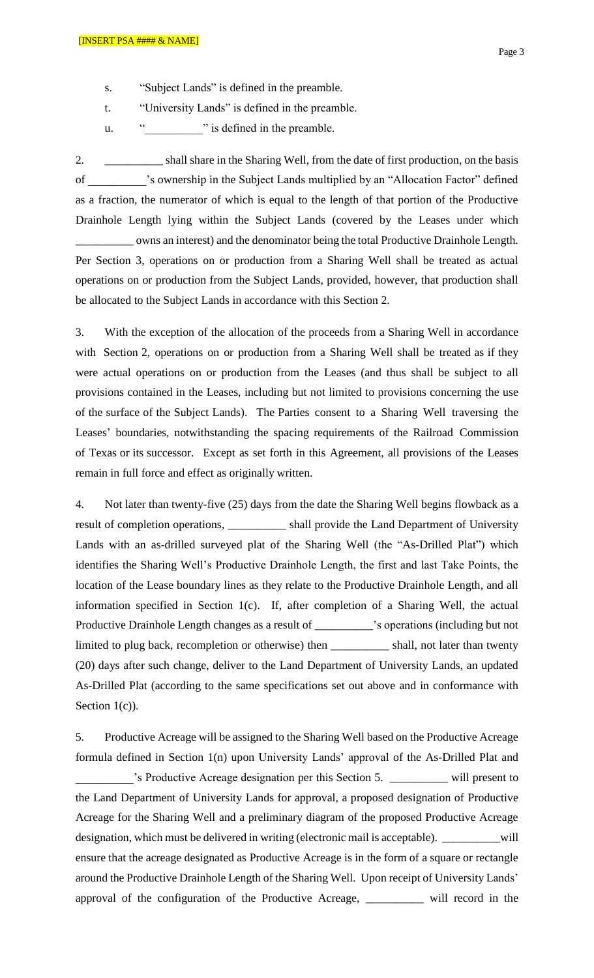- s. "Subject Lands" is defined in the preamble.
- t. "University Lands" is defined in the preamble.
- u. "<sup>"</sup> is defined in the preamble.

2. \_\_\_\_\_\_\_\_\_\_ shall share in the Sharing Well, from the date of first production, on the basis of \_\_\_\_\_\_\_\_\_\_'s ownership in the Subject Lands multiplied by an "Allocation Factor" defined as a fraction, the numerator of which is equal to the length of that portion of the Productive Drainhole Length lying within the Subject Lands (covered by the Leases under which

owns an interest) and the denominator being the total Productive Drainhole Length. Per Section 3, operations on or production from a Sharing Well shall be treated as actual operations on or production from the Subject Lands, provided, however, that production shall be allocated to the Subject Lands in accordance with this Section 2.

3. With the exception of the allocation of the proceeds from a Sharing Well in accordance with Section 2, operations on or production from a Sharing Well shall be treated as if they were actual operations on or production from the Leases (and thus shall be subject to all provisions contained in the Leases, including but not limited to provisions concerning the use of the surface of the Subject Lands). The Parties consent to a Sharing Well traversing the Leases' boundaries, notwithstanding the spacing requirements of the Railroad Commission of Texas or its successor. Except as set forth in this Agreement, all provisions of the Leases remain in full force and effect as originally written.

4. Not later than twenty-five (25) days from the date the Sharing Well begins flowback as a result of completion operations, \_\_\_\_\_\_\_\_\_\_ shall provide the Land Department of University Lands with an as-drilled surveyed plat of the Sharing Well (the "As-Drilled Plat") which identifies the Sharing Well's Productive Drainhole Length, the first and last Take Points, the location of the Lease boundary lines as they relate to the Productive Drainhole Length, and all information specified in Section 1(c). If, after completion of a Sharing Well, the actual Productive Drainhole Length changes as a result of \_\_\_\_\_\_\_\_\_\_'s operations (including but not limited to plug back, recompletion or otherwise) then \_\_\_\_\_\_\_\_\_\_ shall, not later than twenty (20) days after such change, deliver to the Land Department of University Lands, an updated As-Drilled Plat (according to the same specifications set out above and in conformance with Section  $1(c)$ ).

5. Productive Acreage will be assigned to the Sharing Well based on the Productive Acreage formula defined in Section 1(n) upon University Lands' approval of the As-Drilled Plat and \_\_\_\_\_\_\_\_\_\_'s Productive Acreage designation per this Section 5. \_\_\_\_\_\_\_\_\_\_ will present to the Land Department of University Lands for approval, a proposed designation of Productive Acreage for the Sharing Well and a preliminary diagram of the proposed Productive Acreage designation, which must be delivered in writing (electronic mail is acceptable). \_\_\_\_\_\_\_\_\_\_will ensure that the acreage designated as Productive Acreage is in the form of a square or rectangle around the Productive Drainhole Length of the Sharing Well. Upon receipt of University Lands' approval of the configuration of the Productive Acreage, \_\_\_\_\_\_\_\_\_\_ will record in the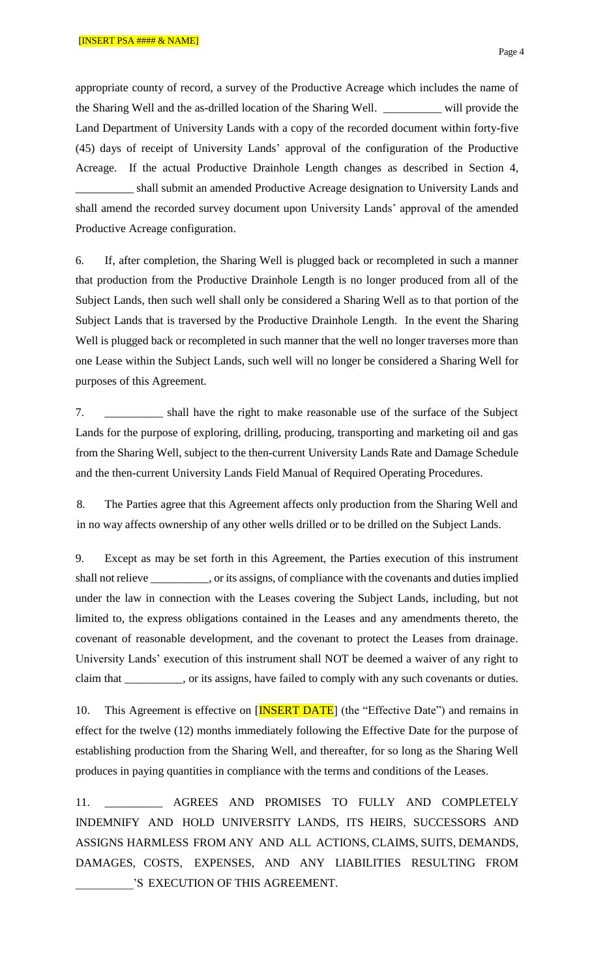appropriate county of record, a survey of the Productive Acreage which includes the name of the Sharing Well and the as-drilled location of the Sharing Well. \_\_\_\_\_\_\_\_\_\_ will provide the Land Department of University Lands with a copy of the recorded document within forty-five (45) days of receipt of University Lands' approval of the configuration of the Productive Acreage. If the actual Productive Drainhole Length changes as described in Section 4, shall submit an amended Productive Acreage designation to University Lands and shall amend the recorded survey document upon University Lands' approval of the amended Productive Acreage configuration.

6. If, after completion, the Sharing Well is plugged back or recompleted in such a manner that production from the Productive Drainhole Length is no longer produced from all of the Subject Lands, then such well shall only be considered a Sharing Well as to that portion of the Subject Lands that is traversed by the Productive Drainhole Length. In the event the Sharing Well is plugged back or recompleted in such manner that the well no longer traverses more than one Lease within the Subject Lands, such well will no longer be considered a Sharing Well for purposes of this Agreement.

7. \_\_\_\_\_\_\_\_\_\_ shall have the right to make reasonable use of the surface of the Subject Lands for the purpose of exploring, drilling, producing, transporting and marketing oil and gas from the Sharing Well, subject to the then-current University Lands Rate and Damage Schedule and the then-current University Lands Field Manual of Required Operating Procedures.

8. The Parties agree that this Agreement affects only production from the Sharing Well and in no way affects ownership of any other wells drilled or to be drilled on the Subject Lands.

9. Except as may be set forth in this Agreement, the Parties execution of this instrument shall not relieve \_\_\_\_\_\_\_\_\_\_, or its assigns, of compliance with the covenants and duties implied under the law in connection with the Leases covering the Subject Lands, including, but not limited to, the express obligations contained in the Leases and any amendments thereto, the covenant of reasonable development, and the covenant to protect the Leases from drainage. University Lands' execution of this instrument shall NOT be deemed a waiver of any right to claim that \_\_\_\_\_\_\_\_\_\_, or its assigns, have failed to comply with any such covenants or duties.

10. This Agreement is effective on [**INSERT DATE**] (the "Effective Date") and remains in effect for the twelve (12) months immediately following the Effective Date for the purpose of establishing production from the Sharing Well, and thereafter, for so long as the Sharing Well produces in paying quantities in compliance with the terms and conditions of the Leases.

11. AGREES AND PROMISES TO FULLY AND COMPLETELY INDEMNIFY AND HOLD UNIVERSITY LANDS, ITS HEIRS, SUCCESSORS AND ASSIGNS HARMLESS FROM ANY AND ALL ACTIONS, CLAIMS, SUITS, DEMANDS, DAMAGES, COSTS, EXPENSES, AND ANY LIABILITIES RESULTING FROM \_\_\_\_\_\_\_\_\_\_'S EXECUTION OF THIS AGREEMENT.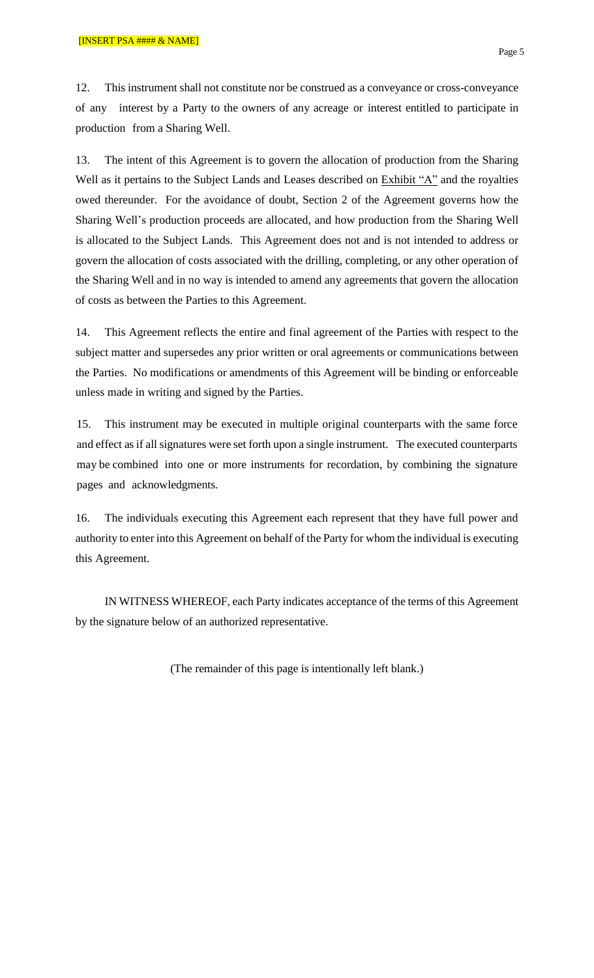12. This instrument shall not constitute nor be construed as a conveyance or cross-conveyance of any interest by a Party to the owners of any acreage or interest entitled to participate in production from a Sharing Well.

13. The intent of this Agreement is to govern the allocation of production from the Sharing Well as it pertains to the Subject Lands and Leases described on Exhibit "A" and the royalties owed thereunder. For the avoidance of doubt, Section 2 of the Agreement governs how the Sharing Well's production proceeds are allocated, and how production from the Sharing Well is allocated to the Subject Lands. This Agreement does not and is not intended to address or govern the allocation of costs associated with the drilling, completing, or any other operation of the Sharing Well and in no way is intended to amend any agreements that govern the allocation of costs as between the Parties to this Agreement.

14. This Agreement reflects the entire and final agreement of the Parties with respect to the subject matter and supersedes any prior written or oral agreements or communications between the Parties. No modifications or amendments of this Agreement will be binding or enforceable unless made in writing and signed by the Parties.

15. This instrument may be executed in multiple original counterparts with the same force and effect as if all signatures were set forth upon a single instrument. The executed counterparts may be combined into one or more instruments for recordation, by combining the signature pages and acknowledgments.

16. The individuals executing this Agreement each represent that they have full power and authority to enter into this Agreement on behalf of the Party for whom the individual is executing this Agreement.

IN WITNESS WHEREOF, each Party indicates acceptance of the terms of this Agreement by the signature below of an authorized representative.

(The remainder of this page is intentionally left blank.)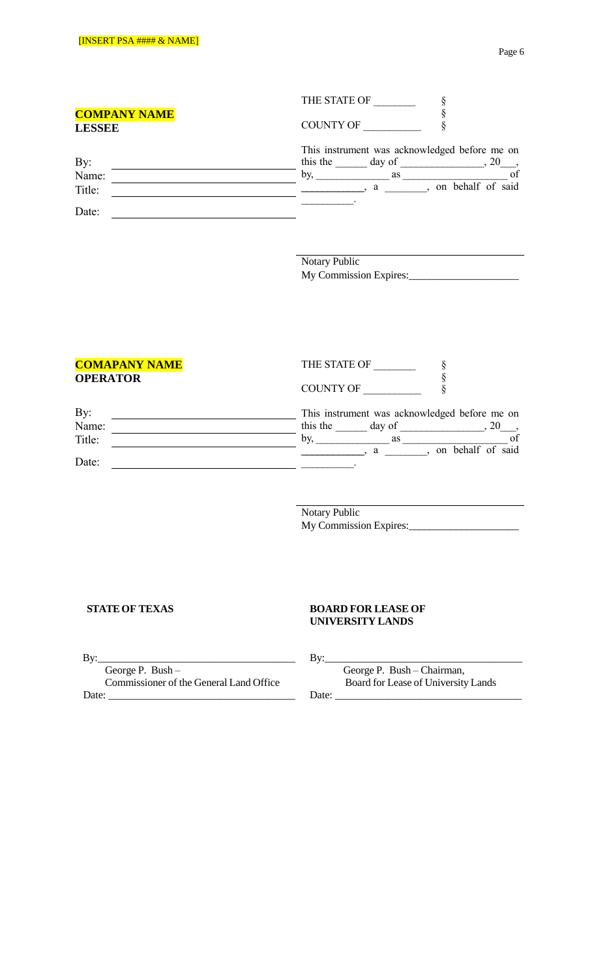|                                      | THE STATE OF                                                              |
|--------------------------------------|---------------------------------------------------------------------------|
| <b>COMPANY NAME</b><br><b>LESSEE</b> | <b>COUNTY OF</b>                                                          |
| By:                                  | This instrument was acknowledged before me on<br>this the<br>day of<br>20 |
| Name:                                | of<br>by,<br>as                                                           |
| Title:                               | on behalf of said<br>a                                                    |
| Date:                                |                                                                           |

Notary Public My Commission Expires:\_\_\_\_\_\_\_\_\_\_\_\_\_\_\_\_\_\_\_\_\_

| <b>COMAPANY NAME</b> | THE STATE OF                                  |
|----------------------|-----------------------------------------------|
| <b>OPERATOR</b>      | <b>COUNTY OF</b>                              |
| By:                  | This instrument was acknowledged before me on |
| Name:                | this the<br>day of<br>20                      |
| Title:               | of<br>bv.<br>as                               |
| Date:                | on behalf of said<br>a                        |

Notary Public My Commission Expires:\_\_\_\_\_\_\_\_\_\_\_\_\_\_\_\_\_\_\_\_\_

### **STATEOF TEXAS BOARD FOR LEASE OF UNIVERSITY LANDS**

By:\_\_\_\_\_\_\_\_\_\_\_\_\_\_\_\_\_\_\_\_\_\_\_\_\_\_\_\_\_\_\_\_\_\_\_\_\_ By:\_\_\_\_\_\_\_\_\_\_\_\_\_\_\_\_\_\_\_\_\_\_\_\_\_\_\_\_\_\_\_\_\_\_\_\_\_ Commissioner of the General Land Office Board for Lease of University Lands

George P. Bush – George P. Bush – Chairman,<br>Commissioner of the General Land Office Board for Lease of University Lands Date: \_\_\_\_\_\_\_\_\_\_\_\_\_\_\_\_\_\_\_\_\_\_\_\_\_\_\_\_\_\_\_\_\_\_\_ Date: \_\_\_\_\_\_\_\_\_\_\_\_\_\_\_\_\_\_\_\_\_\_\_\_\_\_\_\_\_\_\_\_\_\_\_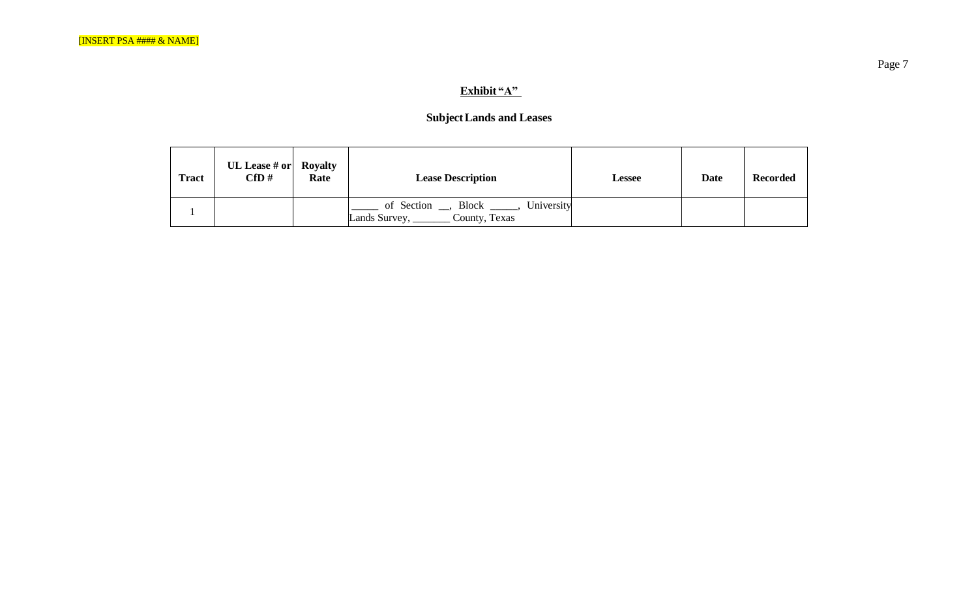# **Exhibit "A"**

# **SubjectLands and Leases**

| <b>Tract</b> | UL Lease # or   Royalty<br>$\bf CfD \#$ | Rate | <b>Lease Description</b>                                              | <b>Lessee</b> | <b>Date</b> | <b>Recorded</b> |
|--------------|-----------------------------------------|------|-----------------------------------------------------------------------|---------------|-------------|-----------------|
|              |                                         |      | of Section __, Block _____, University<br>Lands Survey, County, Texas |               |             |                 |